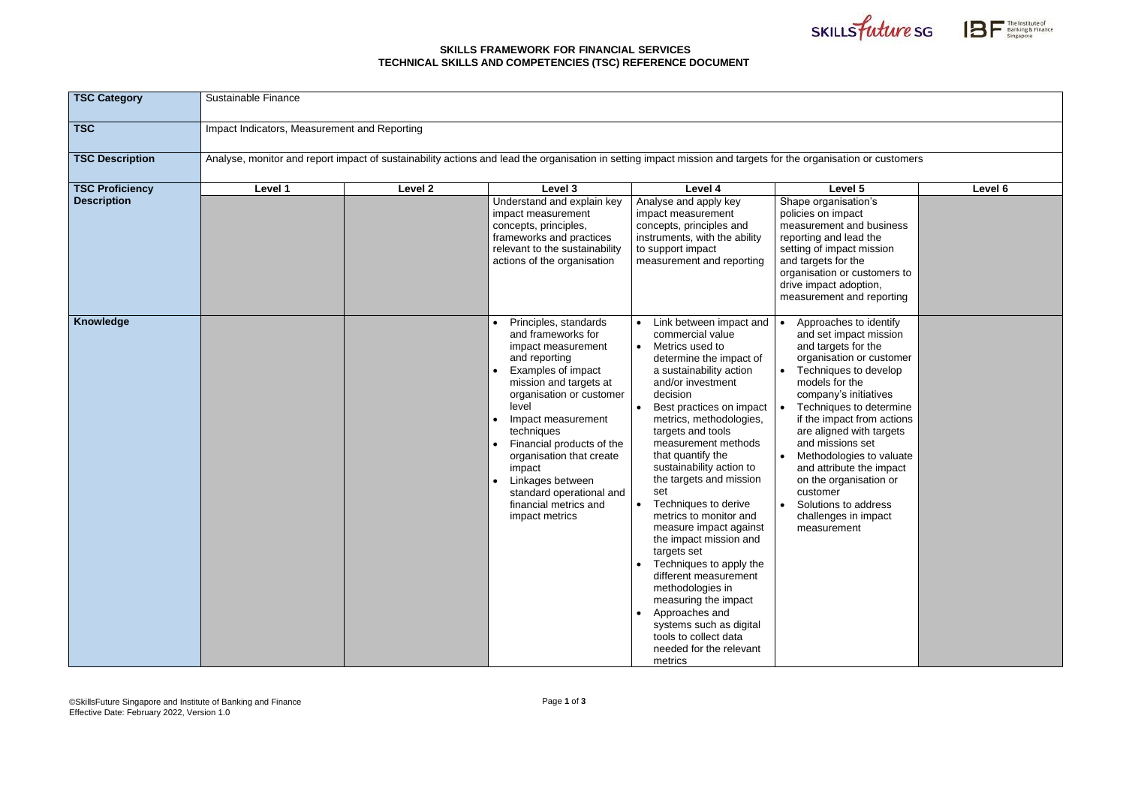## **SKILLS FRAMEWORK FOR FINANCIAL SERVICES TECHNICAL SKILLS AND COMPETENCIES (TSC) REFERENCE DOCUMENT**





| <b>TSC Category</b>    | Sustainable Finance                                                                                                                                            |         |                                                                                                                                                                                                                                                                                                                                                                                  |                                                                                                                                                                                                                                                                                                                                                                                                                                                                                                                                                                                                                                                                              |                                                                                                                                                                                                                                                                                                                                                                                                                                               |         |
|------------------------|----------------------------------------------------------------------------------------------------------------------------------------------------------------|---------|----------------------------------------------------------------------------------------------------------------------------------------------------------------------------------------------------------------------------------------------------------------------------------------------------------------------------------------------------------------------------------|------------------------------------------------------------------------------------------------------------------------------------------------------------------------------------------------------------------------------------------------------------------------------------------------------------------------------------------------------------------------------------------------------------------------------------------------------------------------------------------------------------------------------------------------------------------------------------------------------------------------------------------------------------------------------|-----------------------------------------------------------------------------------------------------------------------------------------------------------------------------------------------------------------------------------------------------------------------------------------------------------------------------------------------------------------------------------------------------------------------------------------------|---------|
| <b>TSC</b>             | Impact Indicators, Measurement and Reporting                                                                                                                   |         |                                                                                                                                                                                                                                                                                                                                                                                  |                                                                                                                                                                                                                                                                                                                                                                                                                                                                                                                                                                                                                                                                              |                                                                                                                                                                                                                                                                                                                                                                                                                                               |         |
| <b>TSC Description</b> | Analyse, monitor and report impact of sustainability actions and lead the organisation in setting impact mission and targets for the organisation or customers |         |                                                                                                                                                                                                                                                                                                                                                                                  |                                                                                                                                                                                                                                                                                                                                                                                                                                                                                                                                                                                                                                                                              |                                                                                                                                                                                                                                                                                                                                                                                                                                               |         |
| <b>TSC Proficiency</b> | Level 1                                                                                                                                                        | Level 2 | Level 3                                                                                                                                                                                                                                                                                                                                                                          | Level 4                                                                                                                                                                                                                                                                                                                                                                                                                                                                                                                                                                                                                                                                      | Level 5                                                                                                                                                                                                                                                                                                                                                                                                                                       | Level 6 |
| <b>Description</b>     |                                                                                                                                                                |         | Understand and explain key<br>impact measurement<br>concepts, principles,<br>frameworks and practices<br>relevant to the sustainability<br>actions of the organisation                                                                                                                                                                                                           | Analyse and apply key<br>impact measurement<br>concepts, principles and<br>instruments, with the ability<br>to support impact<br>measurement and reporting                                                                                                                                                                                                                                                                                                                                                                                                                                                                                                                   | Shape organisation's<br>policies on impact<br>measurement and business<br>reporting and lead the<br>setting of impact mission<br>and targets for the<br>organisation or customers to<br>drive impact adoption,<br>measurement and reporting                                                                                                                                                                                                   |         |
| Knowledge              |                                                                                                                                                                |         | Principles, standards<br>and frameworks for<br>impact measurement<br>and reporting<br><b>Examples of impact</b><br>mission and targets at<br>organisation or customer<br>level<br>Impact measurement<br>techniques<br>Financial products of the<br>organisation that create<br>impact<br>Linkages between<br>standard operational and<br>financial metrics and<br>impact metrics | Link between impact and<br>commercial value<br>Metrics used to<br>determine the impact of<br>a sustainability action<br>and/or investment<br>decision<br>Best practices on impact<br>metrics, methodologies,<br>targets and tools<br>measurement methods<br>that quantify the<br>sustainability action to<br>the targets and mission<br>set<br>Techniques to derive<br>metrics to monitor and<br>measure impact against<br>the impact mission and<br>targets set<br>Techniques to apply the<br>different measurement<br>methodologies in<br>measuring the impact<br>Approaches and<br>systems such as digital<br>tools to collect data<br>needed for the relevant<br>metrics | Approaches to identify<br>and set impact mission<br>and targets for the<br>organisation or customer<br>Techniques to develop<br>models for the<br>company's initiatives<br>Techniques to determine<br>if the impact from actions<br>are aligned with targets<br>and missions set<br>Methodologies to valuate<br>and attribute the impact<br>on the organisation or<br>customer<br>Solutions to address<br>challenges in impact<br>measurement |         |

| e organisation or customers                                                                                                                                                                                                                                                                                                                                                                                                                   |         |
|-----------------------------------------------------------------------------------------------------------------------------------------------------------------------------------------------------------------------------------------------------------------------------------------------------------------------------------------------------------------------------------------------------------------------------------------------|---------|
| Level 5                                                                                                                                                                                                                                                                                                                                                                                                                                       | Level 6 |
| pe organisation's<br>cies on impact<br>asurement and business<br>orting and lead the<br>ing of impact mission<br>targets for the<br>anisation or customers to<br>e impact adoption,<br>asurement and reporting                                                                                                                                                                                                                                |         |
| Approaches to identify<br>and set impact mission<br>and targets for the<br>organisation or customer<br>Techniques to develop<br>models for the<br>company's initiatives<br>Techniques to determine<br>if the impact from actions<br>are aligned with targets<br>and missions set<br>Methodologies to valuate<br>and attribute the impact<br>on the organisation or<br>customer<br>Solutions to address<br>challenges in impact<br>measurement |         |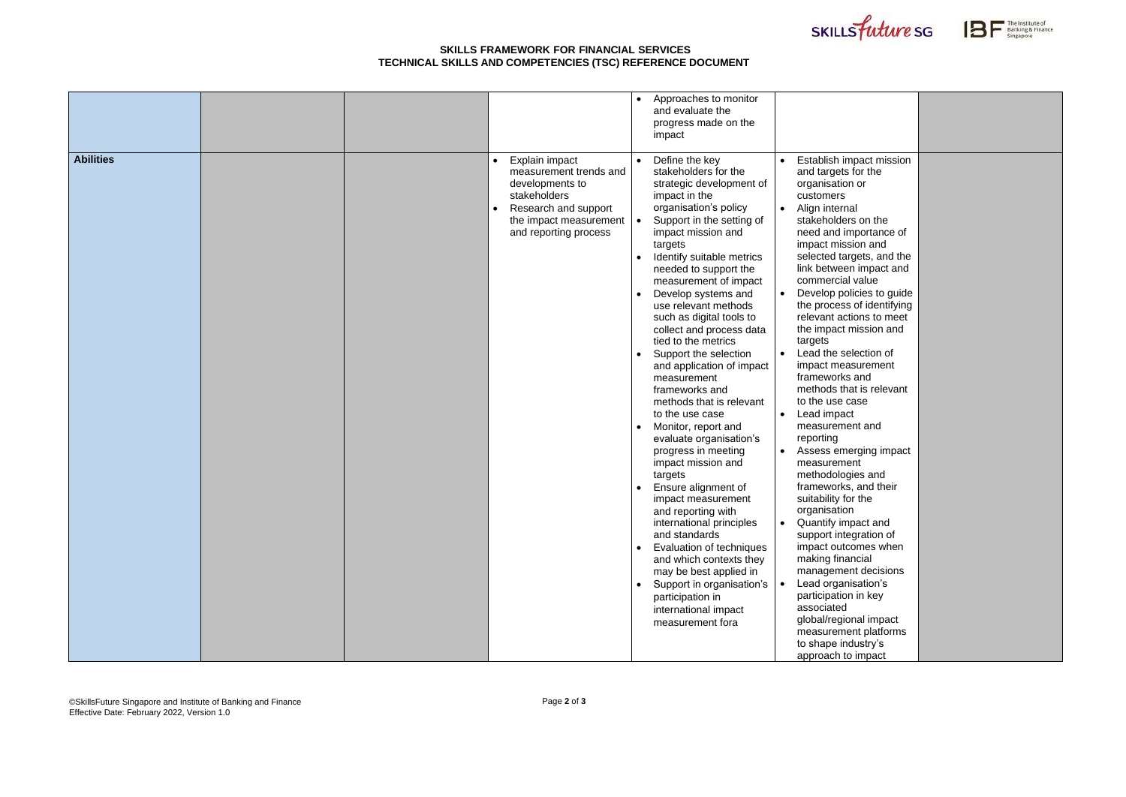## **SKILLS FRAMEWORK FOR FINANCIAL SERVICES TECHNICAL SKILLS AND COMPETENCIES (TSC) REFERENCE DOCUMENT**





|                  |  |                                                                                                                                                        | Approaches to monitor<br>$\bullet$<br>and evaluate the<br>progress made on the<br>impact                                                                                                                                                                                                                                                                                                                                                                                                                                                                                                                                                                                                                                                                                                                                                                                                                                                                                                                            |                                                                                                                                                                                                                                                                                                                                                                                                                                                                                                                                                                                                                                                                                                                                                                                                                                                                                                                                                                 |
|------------------|--|--------------------------------------------------------------------------------------------------------------------------------------------------------|---------------------------------------------------------------------------------------------------------------------------------------------------------------------------------------------------------------------------------------------------------------------------------------------------------------------------------------------------------------------------------------------------------------------------------------------------------------------------------------------------------------------------------------------------------------------------------------------------------------------------------------------------------------------------------------------------------------------------------------------------------------------------------------------------------------------------------------------------------------------------------------------------------------------------------------------------------------------------------------------------------------------|-----------------------------------------------------------------------------------------------------------------------------------------------------------------------------------------------------------------------------------------------------------------------------------------------------------------------------------------------------------------------------------------------------------------------------------------------------------------------------------------------------------------------------------------------------------------------------------------------------------------------------------------------------------------------------------------------------------------------------------------------------------------------------------------------------------------------------------------------------------------------------------------------------------------------------------------------------------------|
| <b>Abilities</b> |  | Explain impact<br>measurement trends and<br>developments to<br>stakeholders<br>Research and support<br>the impact measurement<br>and reporting process | Define the key<br>stakeholders for the<br>strategic development of<br>impact in the<br>organisation's policy<br>Support in the setting of<br>impact mission and<br>targets<br>Identify suitable metrics<br>$\bullet$<br>needed to support the<br>measurement of impact<br>Develop systems and<br>$\bullet$<br>use relevant methods<br>such as digital tools to<br>collect and process data<br>tied to the metrics<br>Support the selection<br>$\bullet$<br>and application of impact<br>measurement<br>frameworks and<br>methods that is relevant<br>to the use case<br>Monitor, report and<br>$\bullet$<br>evaluate organisation's<br>progress in meeting<br>impact mission and<br>targets<br>Ensure alignment of<br>impact measurement<br>and reporting with<br>international principles<br>and standards<br>Evaluation of techniques<br>$\bullet$<br>and which contexts they<br>may be best applied in<br>Support in organisation's<br>$\bullet$<br>participation in<br>international impact<br>measurement fora | Establish impact mission<br>and targets for the<br>organisation or<br>customers<br>Align internal<br>stakeholders on the<br>need and importance of<br>impact mission and<br>selected targets, and the<br>link between impact and<br>commercial value<br>Develop policies to guide<br>the process of identifying<br>relevant actions to meet<br>the impact mission and<br>targets<br>Lead the selection of<br>impact measurement<br>frameworks and<br>methods that is relevant<br>to the use case<br>Lead impact<br>measurement and<br>reporting<br>Assess emerging impact<br>measurement<br>methodologies and<br>frameworks, and their<br>suitability for the<br>organisation<br>Quantify impact and<br>support integration of<br>impact outcomes when<br>making financial<br>management decisions<br>Lead organisation's<br>participation in key<br>associated<br>global/regional impact<br>measurement platforms<br>to shape industry's<br>approach to impact |

| Establish impact mission<br>and targets for the<br>organisation or<br>customers<br>Align internal<br>stakeholders on the<br>need and importance of<br>impact mission and<br>selected targets, and the<br>link between impact and<br>commercial value<br>Develop policies to guide |  |
|-----------------------------------------------------------------------------------------------------------------------------------------------------------------------------------------------------------------------------------------------------------------------------------|--|
| the process of identifying<br>relevant actions to meet<br>the impact mission and<br>targets<br>Lead the selection of<br>impact measurement<br>frameworks and                                                                                                                      |  |
| methods that is relevant<br>to the use case<br>Lead impact<br>measurement and<br>reporting                                                                                                                                                                                        |  |
| Assess emerging impact<br>measurement<br>methodologies and<br>frameworks, and their<br>suitability for the<br>organisation                                                                                                                                                        |  |
| Quantify impact and<br>support integration of<br>impact outcomes when<br>making financial<br>management decisions<br>Lead organisation's                                                                                                                                          |  |
| participation in key<br>associated<br>global/regional impact<br>measurement platforms<br>to shape industry's<br>approach to impact                                                                                                                                                |  |